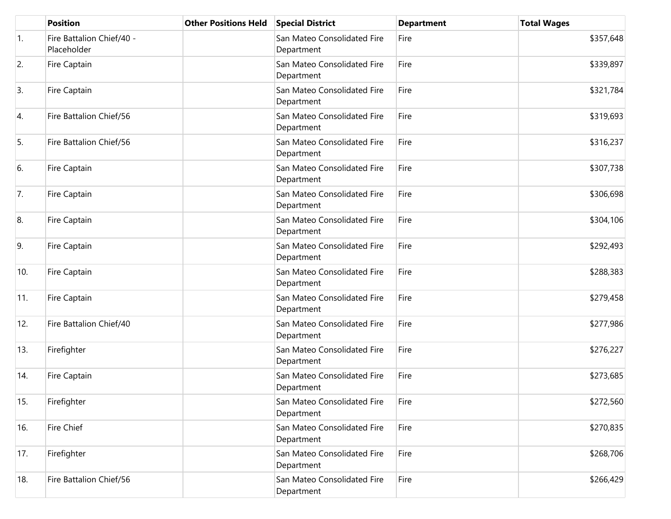|     | <b>Position</b>                          | <b>Other Positions Held</b> | <b>Special District</b>                   | <b>Department</b> | <b>Total Wages</b> |
|-----|------------------------------------------|-----------------------------|-------------------------------------------|-------------------|--------------------|
| 1.  | Fire Battalion Chief/40 -<br>Placeholder |                             | San Mateo Consolidated Fire<br>Department | Fire              | \$357,648          |
| 2.  | Fire Captain                             |                             | San Mateo Consolidated Fire<br>Department | Fire              | \$339,897          |
| 3.  | Fire Captain                             |                             | San Mateo Consolidated Fire<br>Department | Fire              | \$321,784          |
| 4.  | Fire Battalion Chief/56                  |                             | San Mateo Consolidated Fire<br>Department | Fire              | \$319,693          |
| 5.  | Fire Battalion Chief/56                  |                             | San Mateo Consolidated Fire<br>Department | Fire              | \$316,237          |
| 6.  | Fire Captain                             |                             | San Mateo Consolidated Fire<br>Department | Fire              | \$307,738          |
| 7.  | Fire Captain                             |                             | San Mateo Consolidated Fire<br>Department | Fire              | \$306,698          |
| 8.  | Fire Captain                             |                             | San Mateo Consolidated Fire<br>Department | Fire              | \$304,106          |
| 9.  | Fire Captain                             |                             | San Mateo Consolidated Fire<br>Department | Fire              | \$292,493          |
| 10. | Fire Captain                             |                             | San Mateo Consolidated Fire<br>Department | Fire              | \$288,383          |
| 11. | Fire Captain                             |                             | San Mateo Consolidated Fire<br>Department | Fire              | \$279,458          |
| 12. | Fire Battalion Chief/40                  |                             | San Mateo Consolidated Fire<br>Department | Fire              | \$277,986          |
| 13. | Firefighter                              |                             | San Mateo Consolidated Fire<br>Department | Fire              | \$276,227          |
| 14. | Fire Captain                             |                             | San Mateo Consolidated Fire<br>Department | Fire              | \$273,685          |
| 15. | Firefighter                              |                             | San Mateo Consolidated Fire<br>Department | Fire              | \$272,560          |
| 16. | Fire Chief                               |                             | San Mateo Consolidated Fire<br>Department | Fire              | \$270,835          |
| 17. | Firefighter                              |                             | San Mateo Consolidated Fire<br>Department | Fire              | \$268,706          |
| 18. | Fire Battalion Chief/56                  |                             | San Mateo Consolidated Fire<br>Department | Fire              | \$266,429          |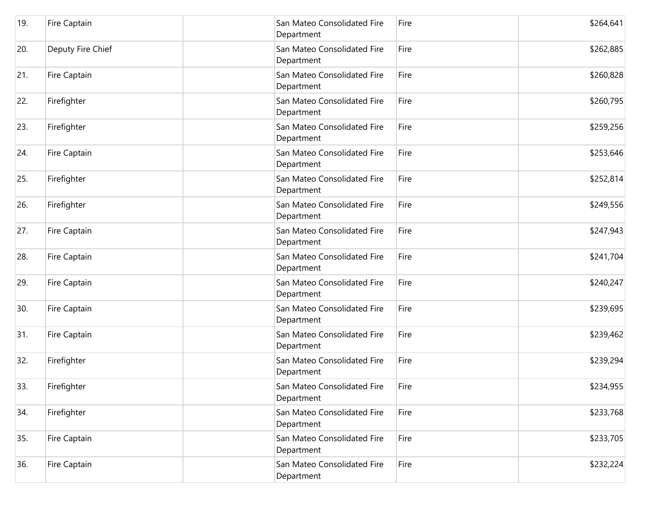| 19. | Fire Captain      | San Mateo Consolidated Fire<br>Department | Fire | \$264,641 |
|-----|-------------------|-------------------------------------------|------|-----------|
| 20. | Deputy Fire Chief | San Mateo Consolidated Fire<br>Department | Fire | \$262,885 |
| 21. | Fire Captain      | San Mateo Consolidated Fire<br>Department | Fire | \$260,828 |
| 22. | Firefighter       | San Mateo Consolidated Fire<br>Department | Fire | \$260,795 |
| 23. | Firefighter       | San Mateo Consolidated Fire<br>Department | Fire | \$259,256 |
| 24. | Fire Captain      | San Mateo Consolidated Fire<br>Department | Fire | \$253,646 |
| 25. | Firefighter       | San Mateo Consolidated Fire<br>Department | Fire | \$252,814 |
| 26. | Firefighter       | San Mateo Consolidated Fire<br>Department | Fire | \$249,556 |
| 27. | Fire Captain      | San Mateo Consolidated Fire<br>Department | Fire | \$247,943 |
| 28. | Fire Captain      | San Mateo Consolidated Fire<br>Department | Fire | \$241,704 |
| 29. | Fire Captain      | San Mateo Consolidated Fire<br>Department | Fire | \$240,247 |
| 30. | Fire Captain      | San Mateo Consolidated Fire<br>Department | Fire | \$239,695 |
| 31. | Fire Captain      | San Mateo Consolidated Fire<br>Department | Fire | \$239,462 |
| 32. | Firefighter       | San Mateo Consolidated Fire<br>Department | Fire | \$239,294 |
| 33. | Firefighter       | San Mateo Consolidated Fire<br>Department | Fire | \$234,955 |
| 34. | Firefighter       | San Mateo Consolidated Fire<br>Department | Fire | \$233,768 |
| 35. | Fire Captain      | San Mateo Consolidated Fire<br>Department | Fire | \$233,705 |
| 36. | Fire Captain      | San Mateo Consolidated Fire<br>Department | Fire | \$232,224 |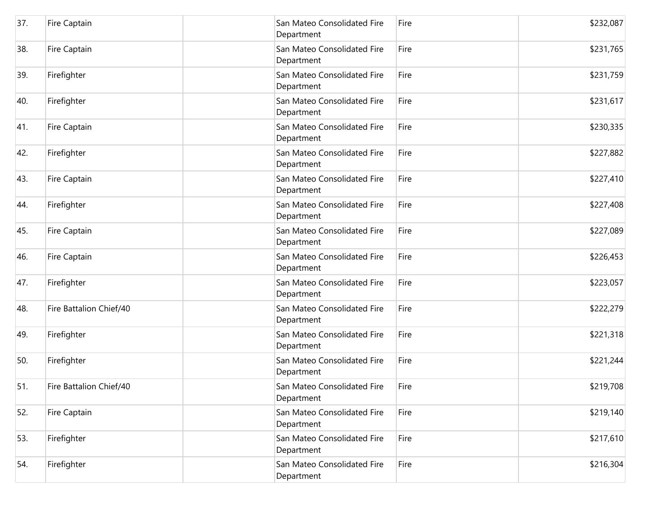| 37. | Fire Captain            | San Mateo Consolidated Fire<br>Department | Fire | \$232,087 |
|-----|-------------------------|-------------------------------------------|------|-----------|
| 38. | Fire Captain            | San Mateo Consolidated Fire<br>Department | Fire | \$231,765 |
| 39. | Firefighter             | San Mateo Consolidated Fire<br>Department | Fire | \$231,759 |
| 40. | Firefighter             | San Mateo Consolidated Fire<br>Department | Fire | \$231,617 |
| 41. | Fire Captain            | San Mateo Consolidated Fire<br>Department | Fire | \$230,335 |
| 42. | Firefighter             | San Mateo Consolidated Fire<br>Department | Fire | \$227,882 |
| 43. | Fire Captain            | San Mateo Consolidated Fire<br>Department | Fire | \$227,410 |
| 44. | Firefighter             | San Mateo Consolidated Fire<br>Department | Fire | \$227,408 |
| 45. | <b>Fire Captain</b>     | San Mateo Consolidated Fire<br>Department | Fire | \$227,089 |
| 46. | Fire Captain            | San Mateo Consolidated Fire<br>Department | Fire | \$226,453 |
| 47. | Firefighter             | San Mateo Consolidated Fire<br>Department | Fire | \$223,057 |
| 48. | Fire Battalion Chief/40 | San Mateo Consolidated Fire<br>Department | Fire | \$222,279 |
| 49. | Firefighter             | San Mateo Consolidated Fire<br>Department | Fire | \$221,318 |
| 50. | Firefighter             | San Mateo Consolidated Fire<br>Department | Fire | \$221,244 |
| 51. | Fire Battalion Chief/40 | San Mateo Consolidated Fire<br>Department | Fire | \$219,708 |
| 52. | Fire Captain            | San Mateo Consolidated Fire<br>Department | Fire | \$219,140 |
| 53. | Firefighter             | San Mateo Consolidated Fire<br>Department | Fire | \$217,610 |
| 54. | Firefighter             | San Mateo Consolidated Fire<br>Department | Fire | \$216,304 |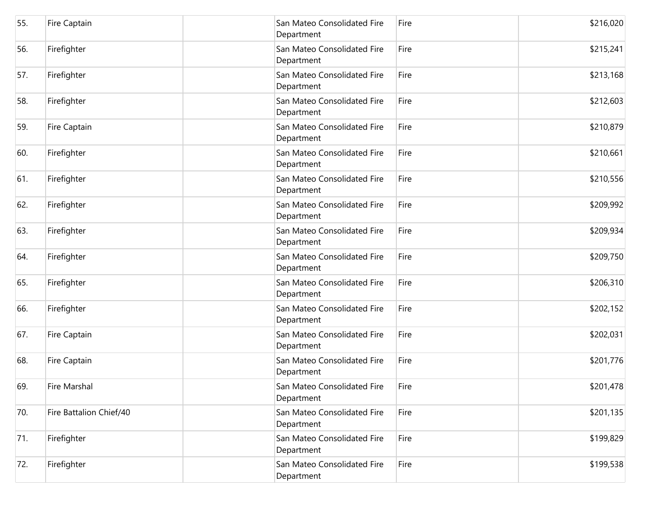| 55. | Fire Captain            | San Mateo Consolidated Fire<br>Department | Fire | \$216,020 |
|-----|-------------------------|-------------------------------------------|------|-----------|
| 56. | Firefighter             | San Mateo Consolidated Fire<br>Department | Fire | \$215,241 |
| 57. | Firefighter             | San Mateo Consolidated Fire<br>Department | Fire | \$213,168 |
| 58. | Firefighter             | San Mateo Consolidated Fire<br>Department | Fire | \$212,603 |
| 59. | Fire Captain            | San Mateo Consolidated Fire<br>Department | Fire | \$210,879 |
| 60. | Firefighter             | San Mateo Consolidated Fire<br>Department | Fire | \$210,661 |
| 61. | Firefighter             | San Mateo Consolidated Fire<br>Department | Fire | \$210,556 |
| 62. | Firefighter             | San Mateo Consolidated Fire<br>Department | Fire | \$209,992 |
| 63. | Firefighter             | San Mateo Consolidated Fire<br>Department | Fire | \$209,934 |
| 64. | Firefighter             | San Mateo Consolidated Fire<br>Department | Fire | \$209,750 |
| 65. | Firefighter             | San Mateo Consolidated Fire<br>Department | Fire | \$206,310 |
| 66. | Firefighter             | San Mateo Consolidated Fire<br>Department | Fire | \$202,152 |
| 67. | Fire Captain            | San Mateo Consolidated Fire<br>Department | Fire | \$202,031 |
| 68. | Fire Captain            | San Mateo Consolidated Fire<br>Department | Fire | \$201,776 |
| 69. | <b>Fire Marshal</b>     | San Mateo Consolidated Fire<br>Department | Fire | \$201,478 |
| 70. | Fire Battalion Chief/40 | San Mateo Consolidated Fire<br>Department | Fire | \$201,135 |
| 71. | Firefighter             | San Mateo Consolidated Fire<br>Department | Fire | \$199,829 |
| 72. | Firefighter             | San Mateo Consolidated Fire<br>Department | Fire | \$199,538 |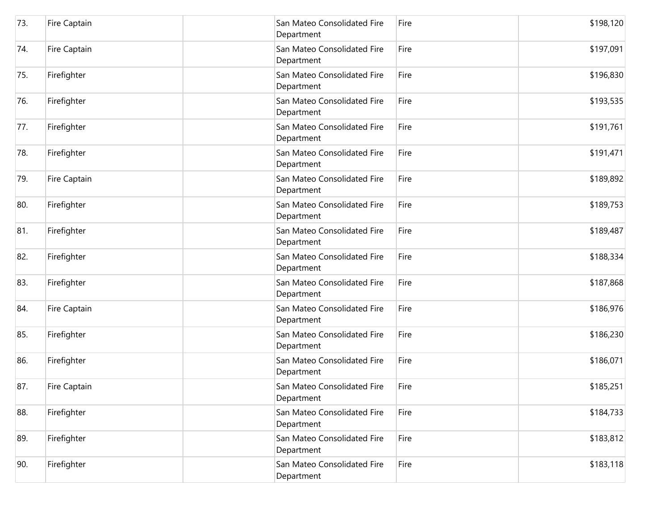| 73. | Fire Captain | San Mateo Consolidated Fire<br>Department | Fire | \$198,120 |
|-----|--------------|-------------------------------------------|------|-----------|
| 74. | Fire Captain | San Mateo Consolidated Fire<br>Department | Fire | \$197,091 |
| 75. | Firefighter  | San Mateo Consolidated Fire<br>Department | Fire | \$196,830 |
| 76. | Firefighter  | San Mateo Consolidated Fire<br>Department | Fire | \$193,535 |
| 77. | Firefighter  | San Mateo Consolidated Fire<br>Department | Fire | \$191,761 |
| 78. | Firefighter  | San Mateo Consolidated Fire<br>Department | Fire | \$191,471 |
| 79. | Fire Captain | San Mateo Consolidated Fire<br>Department | Fire | \$189,892 |
| 80. | Firefighter  | San Mateo Consolidated Fire<br>Department | Fire | \$189,753 |
| 81. | Firefighter  | San Mateo Consolidated Fire<br>Department | Fire | \$189,487 |
| 82. | Firefighter  | San Mateo Consolidated Fire<br>Department | Fire | \$188,334 |
| 83. | Firefighter  | San Mateo Consolidated Fire<br>Department | Fire | \$187,868 |
| 84. | Fire Captain | San Mateo Consolidated Fire<br>Department | Fire | \$186,976 |
| 85. | Firefighter  | San Mateo Consolidated Fire<br>Department | Fire | \$186,230 |
| 86. | Firefighter  | San Mateo Consolidated Fire<br>Department | Fire | \$186,071 |
| 87. | Fire Captain | San Mateo Consolidated Fire<br>Department | Fire | \$185,251 |
| 88. | Firefighter  | San Mateo Consolidated Fire<br>Department | Fire | \$184,733 |
| 89. | Firefighter  | San Mateo Consolidated Fire<br>Department | Fire | \$183,812 |
| 90. | Firefighter  | San Mateo Consolidated Fire<br>Department | Fire | \$183,118 |